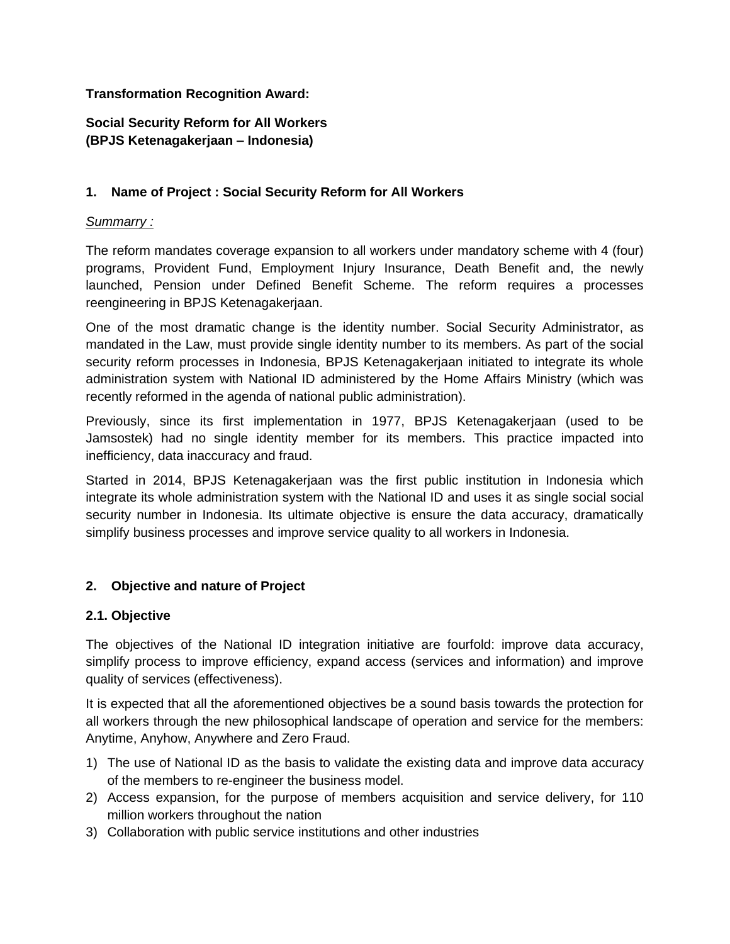## **Transformation Recognition Award:**

# **Social Security Reform for All Workers (BPJS Ketenagakerjaan – Indonesia)**

## **1. Name of Project : Social Security Reform for All Workers**

### *Summarry :*

The reform mandates coverage expansion to all workers under mandatory scheme with 4 (four) programs, Provident Fund, Employment Injury Insurance, Death Benefit and, the newly launched, Pension under Defined Benefit Scheme. The reform requires a processes reengineering in BPJS Ketenagakerjaan.

One of the most dramatic change is the identity number. Social Security Administrator, as mandated in the Law, must provide single identity number to its members. As part of the social security reform processes in Indonesia, BPJS Ketenagakerjaan initiated to integrate its whole administration system with National ID administered by the Home Affairs Ministry (which was recently reformed in the agenda of national public administration).

Previously, since its first implementation in 1977, BPJS Ketenagakerjaan (used to be Jamsostek) had no single identity member for its members. This practice impacted into inefficiency, data inaccuracy and fraud.

Started in 2014, BPJS Ketenagakerjaan was the first public institution in Indonesia which integrate its whole administration system with the National ID and uses it as single social social security number in Indonesia. Its ultimate objective is ensure the data accuracy, dramatically simplify business processes and improve service quality to all workers in Indonesia.

### **2. Objective and nature of Project**

### **2.1. Objective**

The objectives of the National ID integration initiative are fourfold: improve data accuracy, simplify process to improve efficiency, expand access (services and information) and improve quality of services (effectiveness).

It is expected that all the aforementioned objectives be a sound basis towards the protection for all workers through the new philosophical landscape of operation and service for the members: Anytime, Anyhow, Anywhere and Zero Fraud.

- 1) The use of National ID as the basis to validate the existing data and improve data accuracy of the members to re-engineer the business model.
- 2) Access expansion, for the purpose of members acquisition and service delivery, for 110 million workers throughout the nation
- 3) Collaboration with public service institutions and other industries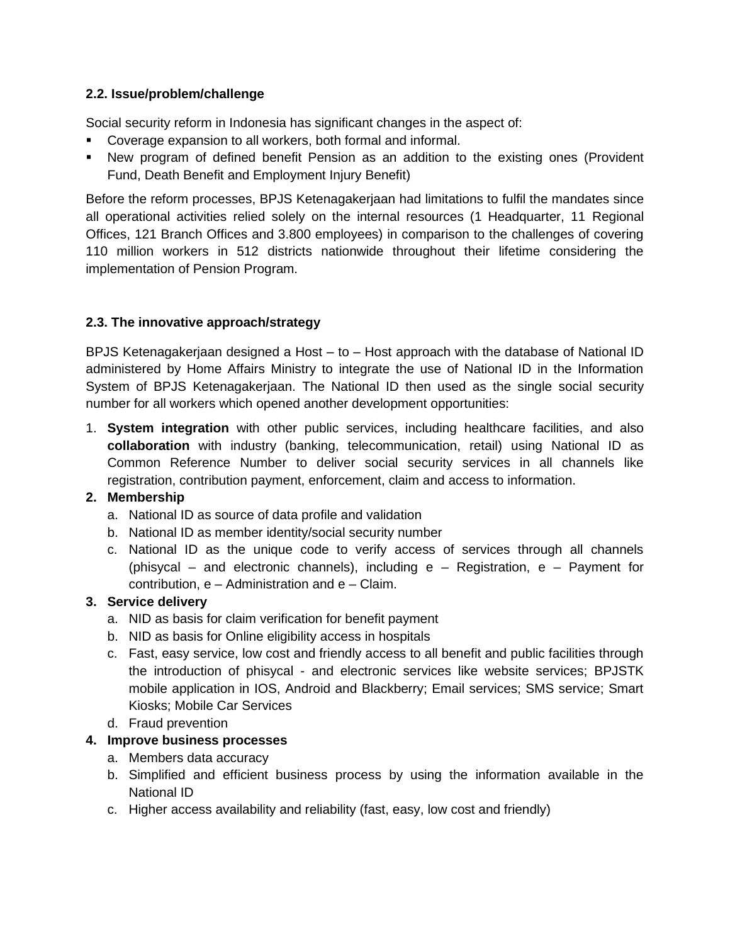## **2.2. Issue/problem/challenge**

Social security reform in Indonesia has significant changes in the aspect of:

- Coverage expansion to all workers, both formal and informal.
- **■** New program of defined benefit Pension as an addition to the existing ones (Provident Fund, Death Benefit and Employment Injury Benefit)

Before the reform processes, BPJS Ketenagakerjaan had limitations to fulfil the mandates since all operational activities relied solely on the internal resources (1 Headquarter, 11 Regional Offices, 121 Branch Offices and 3.800 employees) in comparison to the challenges of covering 110 million workers in 512 districts nationwide throughout their lifetime considering the implementation of Pension Program.

# **2.3. The innovative approach/strategy**

BPJS Ketenagakerjaan designed a Host – to – Host approach with the database of National ID administered by Home Affairs Ministry to integrate the use of National ID in the Information System of BPJS Ketenagakerjaan. The National ID then used as the single social security number for all workers which opened another development opportunities:

1. **System integration** with other public services, including healthcare facilities, and also **collaboration** with industry (banking, telecommunication, retail) using National ID as Common Reference Number to deliver social security services in all channels like registration, contribution payment, enforcement, claim and access to information.

# **2. Membership**

- a. National ID as source of data profile and validation
- b. National ID as member identity/social security number
- c. National ID as the unique code to verify access of services through all channels (phisycal – and electronic channels), including e – Registration, e – Payment for contribution, e – Administration and e – Claim.

### **3. Service delivery**

- a. NID as basis for claim verification for benefit payment
- b. NID as basis for Online eligibility access in hospitals
- c. Fast, easy service, low cost and friendly access to all benefit and public facilities through the introduction of phisycal - and electronic services like website services; BPJSTK mobile application in IOS, Android and Blackberry; Email services; SMS service; Smart Kiosks; Mobile Car Services
- d. Fraud prevention

### **4. Improve business processes**

- a. Members data accuracy
- b. Simplified and efficient business process by using the information available in the National ID
- c. Higher access availability and reliability (fast, easy, low cost and friendly)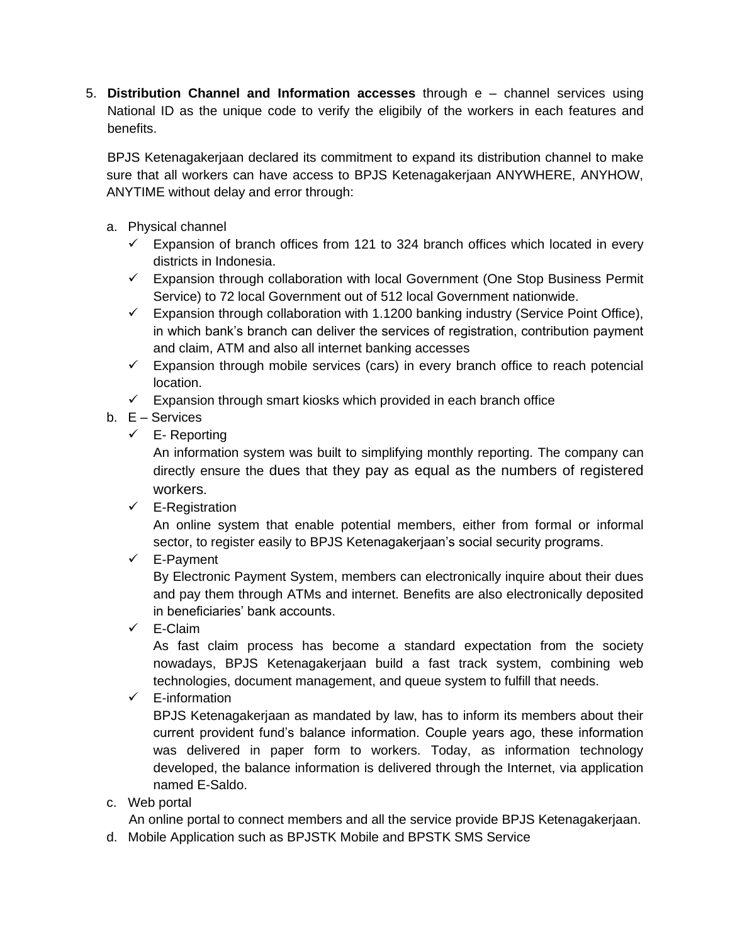5. **Distribution Channel and Information accesses** through e – channel services using National ID as the unique code to verify the eligibily of the workers in each features and benefits.

BPJS Ketenagakerjaan declared its commitment to expand its distribution channel to make sure that all workers can have access to BPJS Ketenagakerjaan ANYWHERE, ANYHOW, ANYTIME without delay and error through:

- a. Physical channel
	- $\checkmark$  Expansion of branch offices from 121 to 324 branch offices which located in every districts in Indonesia.
	- $\checkmark$  Expansion through collaboration with local Government (One Stop Business Permit Service) to 72 local Government out of 512 local Government nationwide.
	- $\checkmark$  Expansion through collaboration with 1.1200 banking industry (Service Point Office), in which bank's branch can deliver the services of registration, contribution payment and claim, ATM and also all internet banking accesses
	- $\checkmark$  Expansion through mobile services (cars) in every branch office to reach potencial location.
	- $\checkmark$  Expansion through smart kiosks which provided in each branch office
- b. E Services
	- $\checkmark$  E- Reporting

An information system was built to simplifying monthly reporting. The company can directly ensure the dues that they pay as equal as the numbers of registered workers.

 $\checkmark$  E-Registration

An online system that enable potential members, either from formal or informal sector, to register easily to BPJS Ketenagakerjaan's social security programs.

✓ E-Payment

By Electronic Payment System, members can electronically inquire about their dues and pay them through ATMs and internet. Benefits are also electronically deposited in beneficiaries' bank accounts.

✓ E-Claim

As fast claim process has become a standard expectation from the society nowadays, BPJS Ketenagakerjaan build a fast track system, combining web technologies, document management, and queue system to fulfill that needs.

✓ E-information

BPJS Ketenagakerjaan as mandated by law, has to inform its members about their current provident fund's balance information. Couple years ago, these information was delivered in paper form to workers. Today, as information technology developed, the balance information is delivered through the Internet, via application named E-Saldo.

c. Web portal

An online portal to connect members and all the service provide BPJS Ketenagakerjaan.

d. Mobile Application such as BPJSTK Mobile and BPSTK SMS Service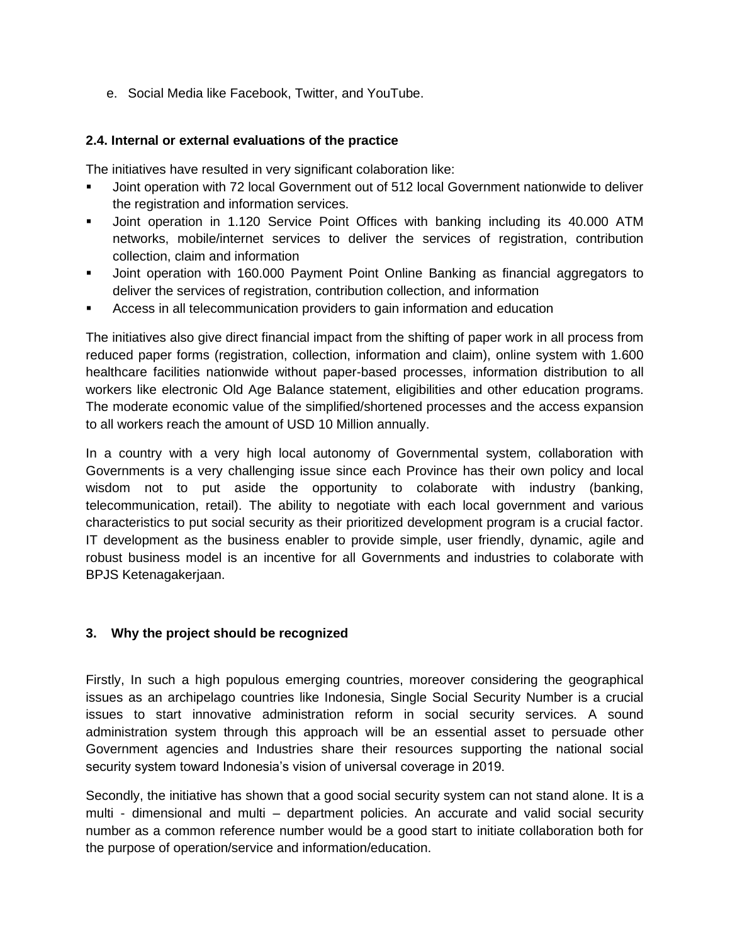e. Social Media like Facebook, Twitter, and YouTube.

## **2.4. Internal or external evaluations of the practice**

The initiatives have resulted in very significant colaboration like:

- Joint operation with 72 local Government out of 512 local Government nationwide to deliver the registration and information services.
- Joint operation in 1.120 Service Point Offices with banking including its 40.000 ATM networks, mobile/internet services to deliver the services of registration, contribution collection, claim and information
- Joint operation with 160.000 Payment Point Online Banking as financial aggregators to deliver the services of registration, contribution collection, and information
- Access in all telecommunication providers to gain information and education

The initiatives also give direct financial impact from the shifting of paper work in all process from reduced paper forms (registration, collection, information and claim), online system with 1.600 healthcare facilities nationwide without paper-based processes, information distribution to all workers like electronic Old Age Balance statement, eligibilities and other education programs. The moderate economic value of the simplified/shortened processes and the access expansion to all workers reach the amount of USD 10 Million annually.

In a country with a very high local autonomy of Governmental system, collaboration with Governments is a very challenging issue since each Province has their own policy and local wisdom not to put aside the opportunity to colaborate with industry (banking, telecommunication, retail). The ability to negotiate with each local government and various characteristics to put social security as their prioritized development program is a crucial factor. IT development as the business enabler to provide simple, user friendly, dynamic, agile and robust business model is an incentive for all Governments and industries to colaborate with BPJS Ketenagakerjaan.

### **3. Why the project should be recognized**

Firstly, In such a high populous emerging countries, moreover considering the geographical issues as an archipelago countries like Indonesia, Single Social Security Number is a crucial issues to start innovative administration reform in social security services. A sound administration system through this approach will be an essential asset to persuade other Government agencies and Industries share their resources supporting the national social security system toward Indonesia's vision of universal coverage in 2019.

Secondly, the initiative has shown that a good social security system can not stand alone. It is a multi - dimensional and multi – department policies. An accurate and valid social security number as a common reference number would be a good start to initiate collaboration both for the purpose of operation/service and information/education.